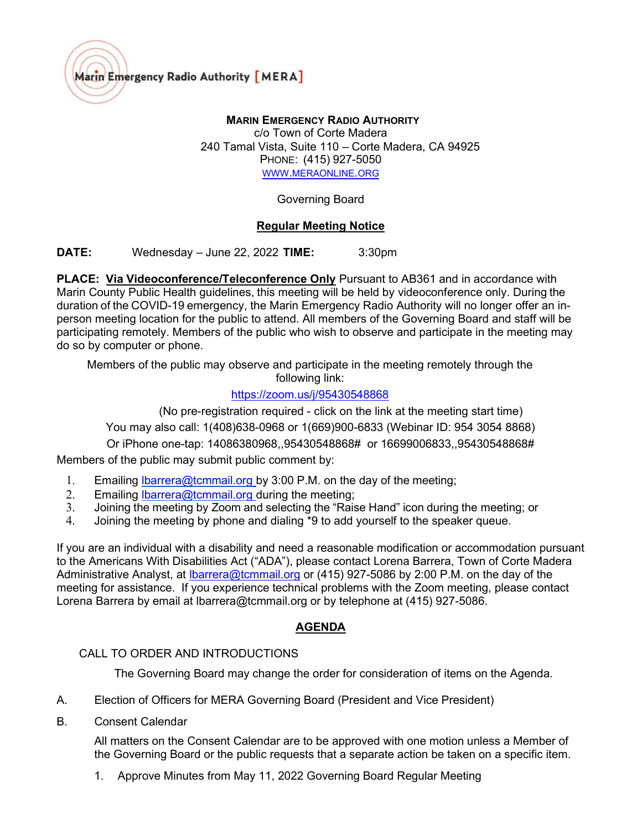

# MARIN EMERGENCY RADIO AUTHORITY

c/o Town of Corte Madera 240 Tamal Vista, Suite 110 – Corte Madera, CA 94925 PHONE: (415) 927-5050 WWW.[MERAONLINE](https://www.meraonline.org/).ORG

Governing Board

#### Regular Meeting Notice

**DATE:** Wednesday – June 22, 2022 **TIME:**  $3:30 \text{pm}$ 

PLACE: Via Videoconference/Teleconference Only Pursuant to AB361 and in accordance with Marin County Public Health guidelines, this meeting will be held by videoconference only. During the duration of the COVID-19 emergency, the Marin Emergency Radio Authority will no longer offer an inperson meeting location for the public to attend. All members of the Governing Board and staff will be participating remotely. Members of the public who wish to observe and participate in the meeting may do so by computer or phone.

Members of the public may observe and participate in the meeting remotely through the following link:

## <https://zoom.us/j/95430548868>

(No pre-registration required - click on the link at the meeting start time)

You may also call: 1(408)638-0968 or 1(669)900-6833 (Webinar ID: 954 3054 8868)

Or iPhone one-tap: 14086380968,,95430548868# or 16699006833,,95430548868#

Members of the public may submit public comment by:

- 1. Emailing Ibarrera@tcmmail.org by 3:00 P.M. on the day of the meeting;
- 2. Emailing Ibarrera@tcmmail.org during the meeting;
- 3. Joining the meeting by Zoom and selecting the "Raise Hand" icon during the meeting; or
- 4. Joining the meeting by phone and dialing \*9 to add yourself to the speaker queue.

If you are an individual with a disability and need a reasonable modification or accommodation pursuant to the Americans With Disabilities Act ("ADA"), please contact Lorena Barrera, Town of Corte Madera Administrative Analyst, at Ibarrera@tcmmail.org or (415) 927-5086 by 2:00 P.M. on the day of the meeting for assistance. If you experience technical problems with the Zoom meeting, please contact Lorena Barrera by email at Ibarrera@tcmmail.org or by telephone at (415) 927-5086.

## AGENDA

## CALL TO ORDER AND INTRODUCTIONS

The Governing Board may change the order for consideration of items on the Agenda.

- A. Election of Officers for MERA Governing Board (President and Vice President)
- B. Consent Calendar

All matters on the Consent Calendar are to be approved with one motion unless a Member of the Governing Board or the public requests that a separate action be taken on a specific item.

1. Approve Minutes from May 11, 2022 Governing Board Regular Meeting